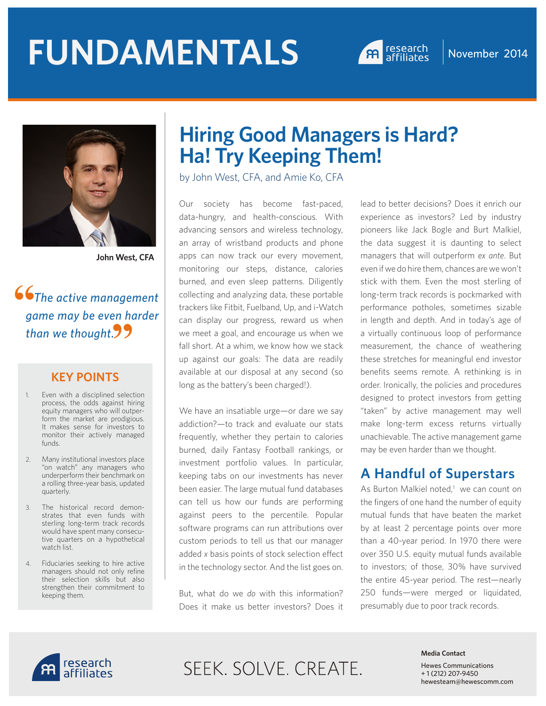# **FUNDAMENTALS** A research November 2014





**John West, CFA**

 *The active management game may be even harder than we thought.* **"**66<sup>g</sup>

#### **KEY POINTS**

- 1. Even with a disciplined selection process, the odds against hiring equity managers who will outperform the market are prodigious. It makes sense for investors to monitor their actively managed funds.
- 2. Many institutional investors place "on watch" any managers who underperform their benchmark on a rolling three-year basis, updated quarterly.
- 3. The historical record demonstrates that even funds with sterling long-term track records would have spent many consecutive quarters on a hypothetical watch list.
- 4. Fiduciaries seeking to hire active managers should not only refine their selection skills but also strengthen their commitment to keeping them.

## **Hiring Good Managers is Hard? Ha! Try Keeping Them!**

by John West, CFA, and Amie Ko, CFA

Our society has become fast-paced, data-hungry, and health-conscious. With advancing sensors and wireless technology, an array of wristband products and phone apps can now track our every movement, monitoring our steps, distance, calories burned, and even sleep patterns. Diligently collecting and analyzing data, these portable trackers like Fitbit, Fuelband, Up, and i-Watch can display our progress, reward us when we meet a goal, and encourage us when we fall short. At a whim, we know how we stack up against our goals: The data are readily available at our disposal at any second (so long as the battery's been charged!).

We have an insatiable urge—or dare we say addiction?—to track and evaluate our stats frequently, whether they pertain to calories burned, daily Fantasy Football rankings, or investment portfolio values. In particular, keeping tabs on our investments has never been easier. The large mutual fund databases can tell us how our funds are performing against peers to the percentile. Popular software programs can run attributions over custom periods to tell us that our manager added *x* basis points of stock selection effect in the technology sector. And the list goes on.

But, what do we *do* with this information? Does it make us better investors? Does it lead to better decisions? Does it enrich our experience as investors? Led by industry pioneers like Jack Bogle and Burt Malkiel, the data suggest it is daunting to select managers that will outperform *ex ante*. But even if we do hire them, chances are we won't stick with them. Even the most sterling of long-term track records is pockmarked with performance potholes, sometimes sizable in length and depth. And in today's age of a virtually continuous loop of performance measurement, the chance of weathering these stretches for meaningful end investor benefits seems remote. A rethinking is in order. Ironically, the policies and procedures designed to protect investors from getting "taken" by active management may well make long-term excess returns virtually unachievable. The active management game may be even harder than we thought.

#### **A Handful of Superstars**

As Burton Malkiel noted,<sup>1</sup> we can count on the fingers of one hand the number of equity mutual funds that have beaten the market by at least 2 percentage points over more than a 40-year period. In 1970 there were over 350 U.S. equity mutual funds available to investors; of those, 30% have survived the entire 45-year period. The rest—nearly 250 funds—were merged or liquidated, presumably due to poor track records.



# SEEK. SOLVE. CREATE.

#### **Media Contact**

Hewes Communications + 1 (212) 207-9450 hewesteam@hewescomm.com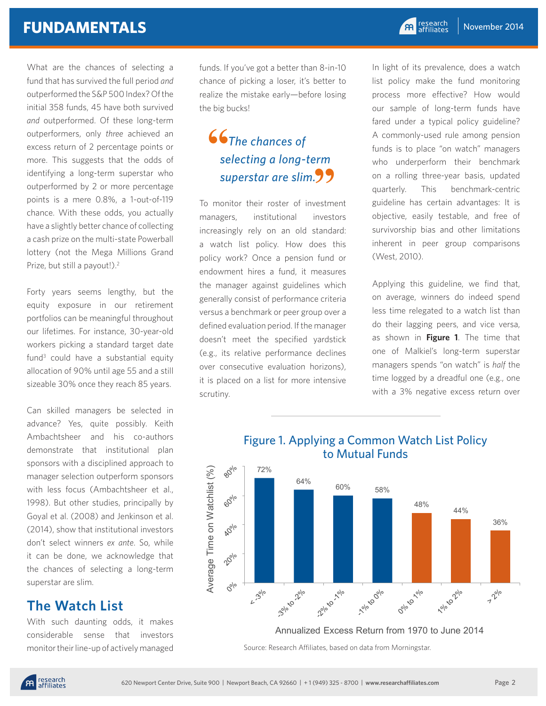What are the chances of selecting a fund that has survived the full period *and* outperformed the S&P 500 Index? Of the initial 358 funds, 45 have both survived *and* outperformed. Of these long-term outperformers, only *three* achieved an excess return of 2 percentage points or more. This suggests that the odds of identifying a long-term superstar who outperformed by 2 or more percentage points is a mere 0.8%, a 1-out-of-119 chance. With these odds, you actually have a slightly better chance of collecting a cash prize on the multi-state Powerball lottery (not the Mega Millions Grand Prize, but still a payout!).<sup>2</sup>

Forty years seems lengthy, but the equity exposure in our retirement portfolios can be meaningful throughout our lifetimes. For instance, 30-year-old workers picking a standard target date fund<sup>3</sup> could have a substantial equity allocation of 90% until age 55 and a still sizeable 30% once they reach 85 years.

Can skilled managers be selected in advance? Yes, quite possibly. Keith Ambachtsheer and his co-authors demonstrate that institutional plan sponsors with a disciplined approach to manager selection outperform sponsors with less focus (Ambachtsheer et al., 1998). But other studies, principally by Goyal et al. (2008) and Jenkinson et al. (2014), show that institutional investors don't select winners *ex ante*. So, while it can be done, we acknowledge that the chances of selecting a long-term superstar are slim.

#### **The Watch List**

With such daunting odds, it makes considerable sense that investors monitor their line-up of actively managed funds. If you've got a better than 8-in-10 chance of picking a loser, it's better to realize the mistake early—before losing the big bucks!

## *The chances of selecting a long-term superstar are slim.* **"** 66<br>se

To monitor their roster of investment managers, institutional investors increasingly rely on an old standard: a watch list policy. How does this policy work? Once a pension fund or endowment hires a fund, it measures the manager against guidelines which generally consist of performance criteria versus a benchmark or peer group over a defined evaluation period. If the manager doesn't meet the specified yardstick (e.g., its relative performance declines over consecutive evaluation horizons), it is placed on a list for more intensive scrutiny.

In light of its prevalence, does a watch list policy make the fund monitoring process more effective? How would our sample of long-term funds have fared under a typical policy guideline? A commonly-used rule among pension funds is to place "on watch" managers who underperform their benchmark on a rolling three-year basis, updated quarterly. This benchmark-centric guideline has certain advantages: It is objective, easily testable, and free of survivorship bias and other limitations inherent in peer group comparisons (West, 2010).

Applying this guideline, we find that, on average, winners do indeed spend less time relegated to a watch list than do their lagging peers, and vice versa, as shown in **Figure 1**. The time that one of Malkiel's long-term superstar managers spends "on watch" is *half* the time logged by a dreadful one (e.g., one with a 3% negative excess return over



Source: Research Affiliates, based on data from Morningstar.

#### Figure 1. Applying a Common Watch List Policy to Mutual Funds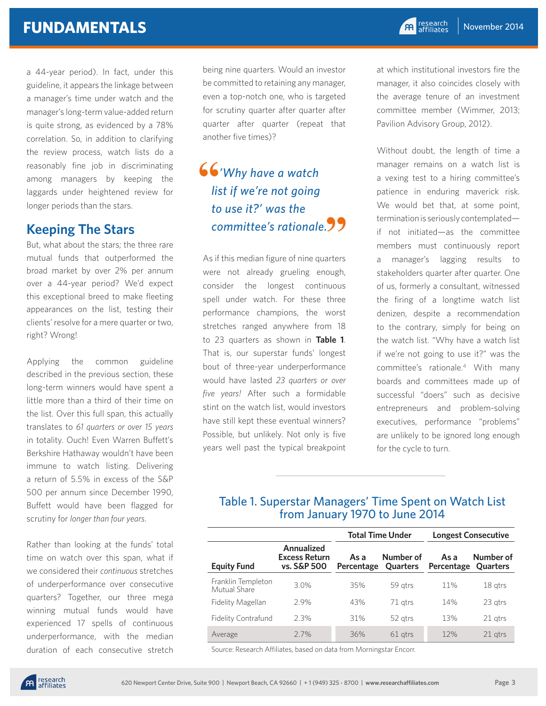## **FUNDAMENTALS**

a 44-year period). In fact, under this guideline, it appears the linkage between a manager's time under watch and the manager's long-term value-added return is quite strong, as evidenced by a 78% correlation. So, in addition to clarifying the review process, watch lists do a reasonably fine job in discriminating among managers by keeping the laggards under heightened review for longer periods than the stars.

## **Keeping The Stars**

But, what about the stars; the three rare mutual funds that outperformed the broad market by over 2% per annum over a 44-year period? We'd expect this exceptional breed to make fleeting appearances on the list, testing their clients' resolve for a mere quarter or two, right? Wrong!

Applying the common guideline described in the previous section, these long-term winners would have spent a little more than a third of their time on the list. Over this full span, this actually translates to *61 quarters or over 15 years* in totality. Ouch! Even Warren Buffett's Berkshire Hathaway wouldn't have been immune to watch listing. Delivering a return of 5.5% in excess of the S&P 500 per annum since December 1990, Buffett would have been flagged for scrutiny for *longer than four years*.

Rather than looking at the funds' total time on watch over this span, what if we considered their *continuous* stretches of underperformance over consecutive quarters? Together, our three mega winning mutual funds would have experienced 17 spells of continuous underperformance, with the median duration of each consecutive stretch

being nine quarters. Would an investor be committed to retaining any manager, even a top-notch one, who is targeted for scrutiny quarter after quarter after quarter after quarter (repeat that another five times)?

## *'Why have a watch list if we're not going to use it?' was the committee's rationale.* **" 66**<br> **lis**

As if this median figure of nine quarters were not already grueling enough, consider the longest continuous spell under watch. For these three performance champions, the worst stretches ranged anywhere from 18 to 23 quarters as shown in **Table 1**. That is, our superstar funds' longest bout of three-year underperformance would have lasted *23 quarters or over five years!* After such a formidable stint on the watch list, would investors have still kept these eventual winners? Possible, but unlikely. Not only is five years well past the typical breakpoint

at which institutional investors fire the manager, it also coincides closely with the average tenure of an investment committee member (Wimmer, 2013; Pavilion Advisory Group, 2012).

Without doubt, the length of time a manager remains on a watch list is a vexing test to a hiring committee's patience in enduring maverick risk. We would bet that, at some point, termination is seriously contemplated if not initiated—as the committee members must continuously report a manager's lagging results to stakeholders quarter after quarter. One of us, formerly a consultant, witnessed the firing of a longtime watch list denizen, despite a recommendation to the contrary, simply for being on the watch list. "Why have a watch list if we're not going to use it?" was the committee's rationale.4 With many boards and committees made up of successful "doers" such as decisive entrepreneurs and problem-solving executives, performance "problems" are unlikely to be ignored long enough for the cycle to turn.

#### Table 1. Superstar Managers' Time Spent on Watch List from January 1970 to June 2014

|                                    |                                                   | <b>Total Time Under</b> |                              | <b>Longest Consecutive</b> |                              |
|------------------------------------|---------------------------------------------------|-------------------------|------------------------------|----------------------------|------------------------------|
| <b>Equity Fund</b>                 | Annualized<br><b>Excess Return</b><br>vs. S&P 500 | As a<br>Percentage      | Number of<br><b>Ouarters</b> | As a<br>Percentage         | Number of<br><b>Ouarters</b> |
| Franklin Templeton<br>Mutual Share | 3.0%                                              | 35%                     | 59 gtrs                      | 11%                        | 18 gtrs                      |
| Fidelity Magellan                  | 29%                                               | 43%                     | 71 gtrs                      | 14%                        | 23 gtrs                      |
| Fidelity Contrafund                | 2.3%                                              | 31%                     | 52 gtrs                      | 13%                        | 21 gtrs                      |
| Average                            | 27%                                               | 36%                     | 61 gtrs                      | 12%                        | 21 gtrs                      |

Source: Research Affiliates, based on data from Morningstar Encorr.

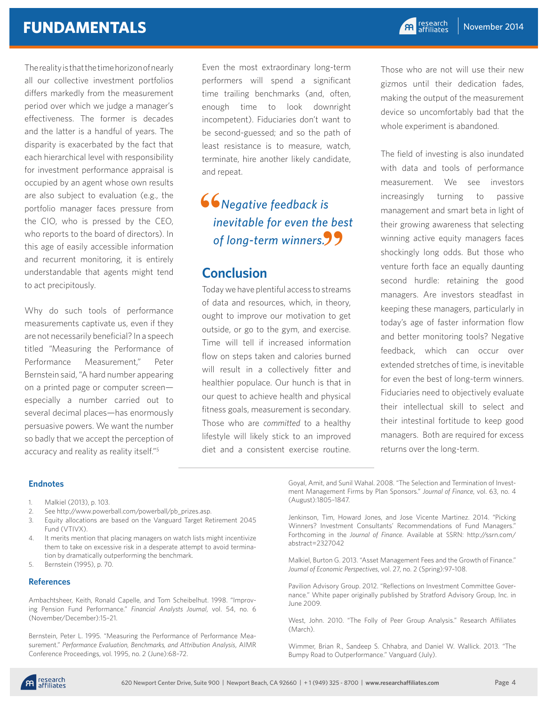## **FUNDAMENTALS**

The reality is that the time horizon of nearly all our collective investment portfolios differs markedly from the measurement period over which we judge a manager's effectiveness. The former is decades and the latter is a handful of years. The disparity is exacerbated by the fact that each hierarchical level with responsibility for investment performance appraisal is occupied by an agent whose own results are also subject to evaluation (e.g., the portfolio manager faces pressure from the CIO, who is pressed by the CEO, who reports to the board of directors). In this age of easily accessible information and recurrent monitoring, it is entirely understandable that agents might tend to act precipitously.

Why do such tools of performance measurements captivate us, even if they are not necessarily beneficial? In a speech titled "Measuring the Performance of Performance Measurement," Peter Bernstein said, "A hard number appearing on a printed page or computer screen especially a number carried out to several decimal places—has enormously persuasive powers. We want the number so badly that we accept the perception of accuracy and reality as reality itself."<sup>5</sup>

Even the most extraordinary long-term performers will spend a significant time trailing benchmarks (and, often, enough time to look downright incompetent). Fiduciaries don't want to be second-guessed; and so the path of least resistance is to measure, watch, terminate, hire another likely candidate, and repeat.

 *Negative feedback is inevitable for even the best of long-term winners.* **" "**

#### **Conclusion**

Today we have plentiful access to streams of data and resources, which, in theory, ought to improve our motivation to get outside, or go to the gym, and exercise. Time will tell if increased information flow on steps taken and calories burned will result in a collectively fitter and healthier populace. Our hunch is that in our quest to achieve health and physical fitness goals, measurement is secondary. Those who are *committed* to a healthy lifestyle will likely stick to an improved diet and a consistent exercise routine.

Those who are not will use their new gizmos until their dedication fades, making the output of the measurement device so uncomfortably bad that the whole experiment is abandoned.

The field of investing is also inundated with data and tools of performance measurement. We see investors increasingly turning to passive management and smart beta in light of their growing awareness that selecting winning active equity managers faces shockingly long odds. But those who venture forth face an equally daunting second hurdle: retaining the good managers. Are investors steadfast in keeping these managers, particularly in today's age of faster information flow and better monitoring tools? Negative feedback, which can occur over extended stretches of time, is inevitable for even the best of long-term winners. Fiduciaries need to objectively evaluate their intellectual skill to select and their intestinal fortitude to keep good managers. Both are required for excess returns over the long-term.

#### **Endnotes**

- 1. Malkiel (2013), p. 103.
- 2. See http://www.powerball.com/powerball/pb\_prizes.asp.
- 3. Equity allocations are based on the Vanguard Target Retirement 2045 Fund (VTIVX).
- 4. It merits mention that placing managers on watch lists might incentivize them to take on excessive risk in a desperate attempt to avoid termination by dramatically outperforming the benchmark.
- 5. Bernstein (1995), p. 70.

#### **References**

Ambachtsheer, Keith, Ronald Capelle, and Tom Scheibelhut. 1998. "Improving Pension Fund Performance." *Financial Analysts Journal*, vol. 54, no. 6 (November/December):15–21.

Bernstein, Peter L. 1995. "Measuring the Performance of Performance Measurement." *Performance Evaluation, Benchmarks, and Attribution Analysis*, AIMR Conference Proceedings, vol. 1995, no. 2 (June):68–72.

Goyal, Amit, and Sunil Wahal. 2008. "The Selection and Termination of Investment Management Firms by Plan Sponsors." *Journal of Finance*, vol. 63, no. 4 (August):1805–1847.

Jenkinson, Tim, Howard Jones, and Jose Vicente Martinez. 2014. "Picking Winners? Investment Consultants' Recommendations of Fund Managers.' Forthcoming in the *Journal of Finance*. Available at SSRN: http://ssrn.com/ abstract=2327042

Malkiel, Burton G. 2013. "Asset Management Fees and the Growth of Finance." *Journal of Economic Perspectives*, vol. 27, no. 2 (Spring):97–108.

Pavilion Advisory Group. 2012. "Reflections on Investment Committee Governance." White paper originally published by Stratford Advisory Group, Inc. in June 2009.

West, John. 2010. "The Folly of Peer Group Analysis." Research Affiliates (March).

Wimmer, Brian R., Sandeep S. Chhabra, and Daniel W. Wallick. 2013. "The Bumpy Road to Outperformance." Vanguard (July).